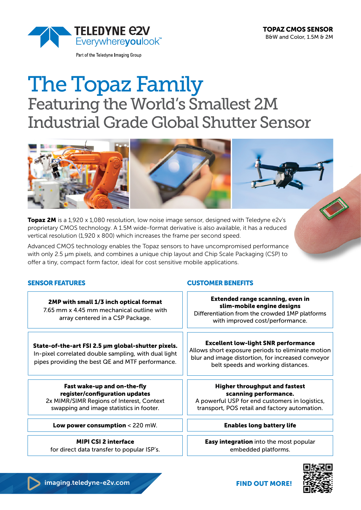

Part of the Teledyne Imaging Group

# The Topaz Family Featuring the World's Smallest 2M Industrial Grade Global Shutter Sensor



**Topaz 2M** is a 1,920 x 1,080 resolution, low noise image sensor, designed with Teledyne e2v's proprietary CMOS technology. A 1.5M wide-format derivative is also available, it has a reduced vertical resolution (1,920 x 800) which increases the frame per second speed.

Advanced CMOS technology enables the Topaz sensors to have uncompromised performance with only 2.5 µm pixels, and combines a unique chip layout and Chip Scale Packaging (CSP) to offer a tiny, compact form factor, ideal for cost sensitive mobile applications.

2MP with small 1/3 inch optical format 7.65 mm x 4.45 mm mechanical outline with array centered in a CSP Package.

State-of-the-art FSI 2.5 µm global-shutter pixels. In-pixel correlated double sampling, with dual light pipes providing the best QE and MTF performance.

Fast wake-up and on-the-fly register/configuration updates 2x MIMR/SIMR Regions of Interest, Context swapping and image statistics in footer.

Low power consumption < 220 mW. The state of the state of the state of the state of the state of the state of the state of the state of the state of the state of the state of the state of the state of the state of the stat

MIPI CSI 2 interface for direct data transfer to popular ISP's.

# SENSOR FEATURES CUSTOMER BENEFITS

Extended range scanning, even in slim-mobile engine designs Differentiation from the crowded 1MP platforms with improved cost/performance.

#### Excellent low-light SNR performance

Allows short exposure periods to eliminate motion blur and image distortion, for increased conveyor belt speeds and working distances.

# Higher throughput and fastest scanning performance.

A powerful USP for end customers in logistics, transport, POS retail and factory automation.

Easy integration into the most popular embedded platforms.



FIND OUT MORE!